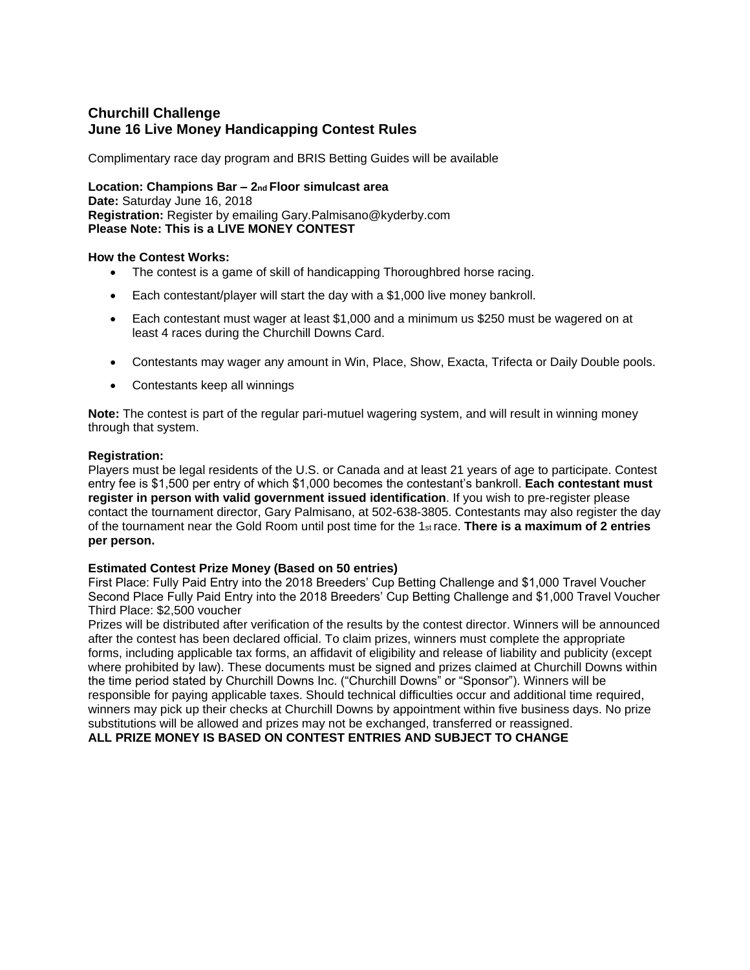# **Churchill Challenge June 16 Live Money Handicapping Contest Rules**

Complimentary race day program and BRIS Betting Guides will be available

**Location: Champions Bar – 2nd Floor simulcast area Date:** Saturday June 16, 2018 **Registration:** Register by emailing Gary.Palmisano@kyderby.com **Please Note: This is a LIVE MONEY CONTEST** 

### **How the Contest Works:**

- The contest is a game of skill of handicapping Thoroughbred horse racing.
- Each contestant/player will start the day with a \$1,000 live money bankroll.
- Each contestant must wager at least \$1,000 and a minimum us \$250 must be wagered on at least 4 races during the Churchill Downs Card.
- Contestants may wager any amount in Win, Place, Show, Exacta, Trifecta or Daily Double pools.
- Contestants keep all winnings

**Note:** The contest is part of the regular pari-mutuel wagering system, and will result in winning money through that system.

### **Registration:**

Players must be legal residents of the U.S. or Canada and at least 21 years of age to participate. Contest entry fee is \$1,500 per entry of which \$1,000 becomes the contestant's bankroll. **Each contestant must register in person with valid government issued identification**. If you wish to pre-register please contact the tournament director, Gary Palmisano, at 502-638-3805. Contestants may also register the day of the tournament near the Gold Room until post time for the 1st race. **There is a maximum of 2 entries per person.** 

### **Estimated Contest Prize Money (Based on 50 entries)**

First Place: Fully Paid Entry into the 2018 Breeders' Cup Betting Challenge and \$1,000 Travel Voucher Second Place Fully Paid Entry into the 2018 Breeders' Cup Betting Challenge and \$1,000 Travel Voucher Third Place: \$2,500 voucher

Prizes will be distributed after verification of the results by the contest director. Winners will be announced after the contest has been declared official. To claim prizes, winners must complete the appropriate forms, including applicable tax forms, an affidavit of eligibility and release of liability and publicity (except where prohibited by law). These documents must be signed and prizes claimed at Churchill Downs within the time period stated by Churchill Downs Inc. ("Churchill Downs" or "Sponsor"). Winners will be responsible for paying applicable taxes. Should technical difficulties occur and additional time required, winners may pick up their checks at Churchill Downs by appointment within five business days. No prize substitutions will be allowed and prizes may not be exchanged, transferred or reassigned. **ALL PRIZE MONEY IS BASED ON CONTEST ENTRIES AND SUBJECT TO CHANGE**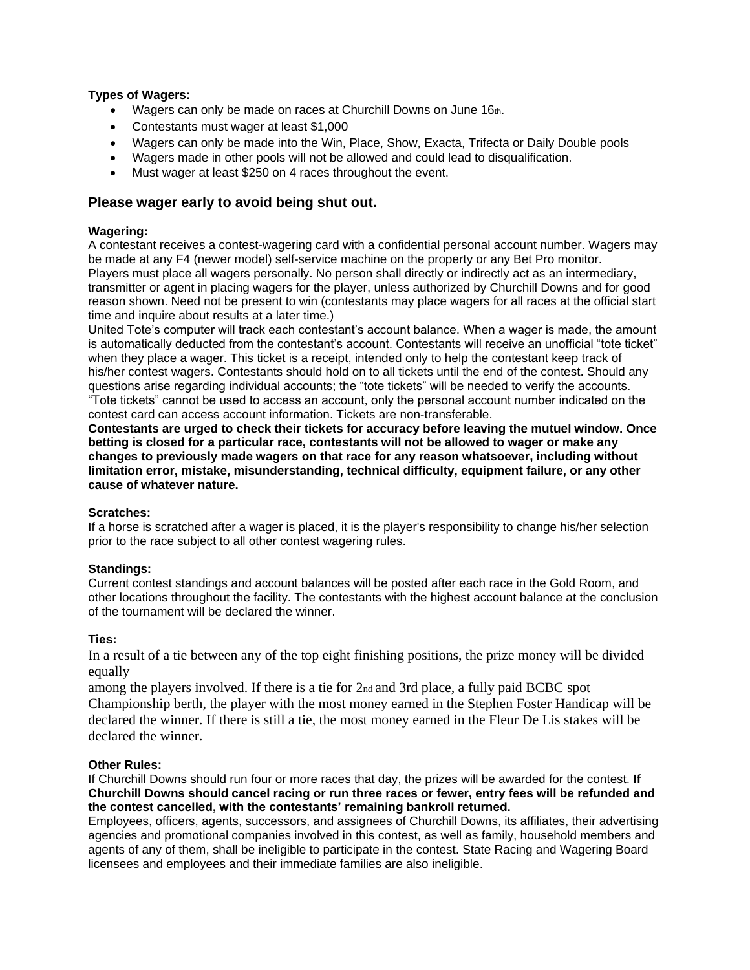### **Types of Wagers:**

- Wagers can only be made on races at Churchill Downs on June 16th.
- Contestants must wager at least \$1,000
- Wagers can only be made into the Win, Place, Show, Exacta, Trifecta or Daily Double pools
- Wagers made in other pools will not be allowed and could lead to disqualification.
- Must wager at least \$250 on 4 races throughout the event.

## **Please wager early to avoid being shut out.**

### **Wagering:**

A contestant receives a contest-wagering card with a confidential personal account number. Wagers may be made at any F4 (newer model) self-service machine on the property or any Bet Pro monitor. Players must place all wagers personally. No person shall directly or indirectly act as an intermediary, transmitter or agent in placing wagers for the player, unless authorized by Churchill Downs and for good reason shown. Need not be present to win (contestants may place wagers for all races at the official start time and inquire about results at a later time.)

United Tote's computer will track each contestant's account balance. When a wager is made, the amount is automatically deducted from the contestant's account. Contestants will receive an unofficial "tote ticket" when they place a wager. This ticket is a receipt, intended only to help the contestant keep track of his/her contest wagers. Contestants should hold on to all tickets until the end of the contest. Should any questions arise regarding individual accounts; the "tote tickets" will be needed to verify the accounts. "Tote tickets" cannot be used to access an account, only the personal account number indicated on the contest card can access account information. Tickets are non-transferable.

**Contestants are urged to check their tickets for accuracy before leaving the mutuel window. Once betting is closed for a particular race, contestants will not be allowed to wager or make any changes to previously made wagers on that race for any reason whatsoever, including without limitation error, mistake, misunderstanding, technical difficulty, equipment failure, or any other cause of whatever nature.** 

### **Scratches:**

If a horse is scratched after a wager is placed, it is the player's responsibility to change his/her selection prior to the race subject to all other contest wagering rules.

### **Standings:**

Current contest standings and account balances will be posted after each race in the Gold Room, and other locations throughout the facility. The contestants with the highest account balance at the conclusion of the tournament will be declared the winner.

### **Ties:**

In a result of a tie between any of the top eight finishing positions, the prize money will be divided equally

among the players involved. If there is a tie for 2nd and 3rd place, a fully paid BCBC spot Championship berth, the player with the most money earned in the Stephen Foster Handicap will be declared the winner. If there is still a tie, the most money earned in the Fleur De Lis stakes will be declared the winner.

### **Other Rules:**

If Churchill Downs should run four or more races that day, the prizes will be awarded for the contest. **If Churchill Downs should cancel racing or run three races or fewer, entry fees will be refunded and the contest cancelled, with the contestants' remaining bankroll returned.** 

Employees, officers, agents, successors, and assignees of Churchill Downs, its affiliates, their advertising agencies and promotional companies involved in this contest, as well as family, household members and agents of any of them, shall be ineligible to participate in the contest. State Racing and Wagering Board licensees and employees and their immediate families are also ineligible.